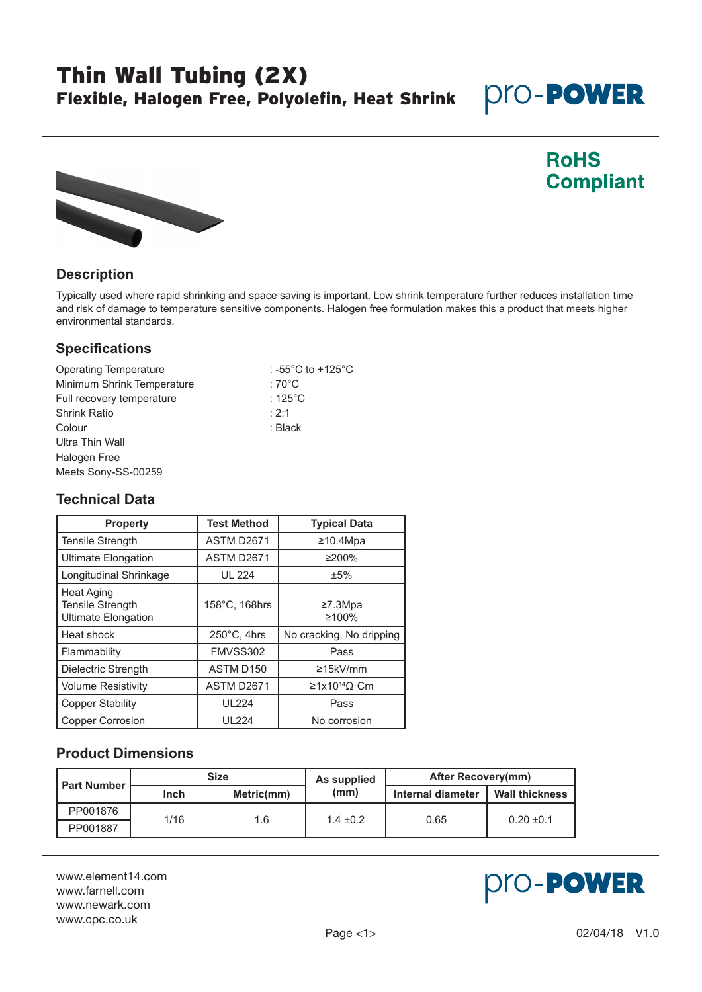# Thin Wall Tubing (2X) Flexible, Halogen Free, Polyolefin, Heat Shrink

# **pro-POWER**



### **RoHS Compliant**

### **Description**

Typically used where rapid shrinking and space saving is important. Low shrink temperature further reduces installation time and risk of damage to temperature sensitive components. Halogen free formulation makes this a product that meets higher environmental standards.

#### **Specifications**

| <b>Operating Temperature</b> | : -55 $^{\circ}$ C to +125 $^{\circ}$ C |
|------------------------------|-----------------------------------------|
| Minimum Shrink Temperature   | : 70 $^{\circ}$ C                       |
| Full recovery temperature    | : 125 $^{\circ}$ C                      |
| <b>Shrink Ratio</b>          | : 2:1                                   |
| Colour                       | : Black                                 |
| Ultra Thin Wall              |                                         |
| Halogen Free                 |                                         |
| Meets Sony-SS-00259          |                                         |

#### **Technical Data**

| <b>Property</b>                                                            | <b>Test Method</b>    | <b>Typical Data</b>                            |
|----------------------------------------------------------------------------|-----------------------|------------------------------------------------|
| <b>Tensile Strength</b>                                                    | <b>ASTM D2671</b>     | ≥10.4Mpa                                       |
| Ultimate Elongation                                                        | ASTM D2671            | $\geq$ 200%                                    |
| Longitudinal Shrinkage                                                     | <b>UL 224</b>         | ±5%                                            |
| <b>Heat Aging</b><br><b>Tensile Strength</b><br><b>Ultimate Elongation</b> | 158°C, 168hrs         | ≥7.3Mpa<br>≥100%                               |
| Heat shock                                                                 | $250^{\circ}$ C, 4hrs | No cracking, No dripping                       |
| Flammability                                                               | FMVSS302              | Pass                                           |
| Dielectric Strength                                                        | ASTM D150             | ≥15kV/mm                                       |
| <b>Volume Resistivity</b>                                                  | ASTM D2671            | $\geq 1 \times 10^{14} \Omega \cdot \text{Cm}$ |
| <b>Copper Stability</b>                                                    | <b>UL224</b>          | Pass                                           |
| <b>Copper Corrosion</b>                                                    | <b>UL224</b>          | No corrosion                                   |

### **Product Dimensions**

| <b>Part Number</b> | <b>Size</b> |            | As supplied   | After Recovery(mm) |                       |
|--------------------|-------------|------------|---------------|--------------------|-----------------------|
|                    | Inch        | Metric(mm) | (mm)          | Internal diameter  | <b>Wall thickness</b> |
| PP001876           | 1/16        | 1.6        | $1.4 \pm 0.2$ | 0.65               | $0.20 \pm 0.1$        |
| PP001887           |             |            |               |                    |                       |

www.element14.com www.farnell.com www.newark.com www.cpc.co.uk

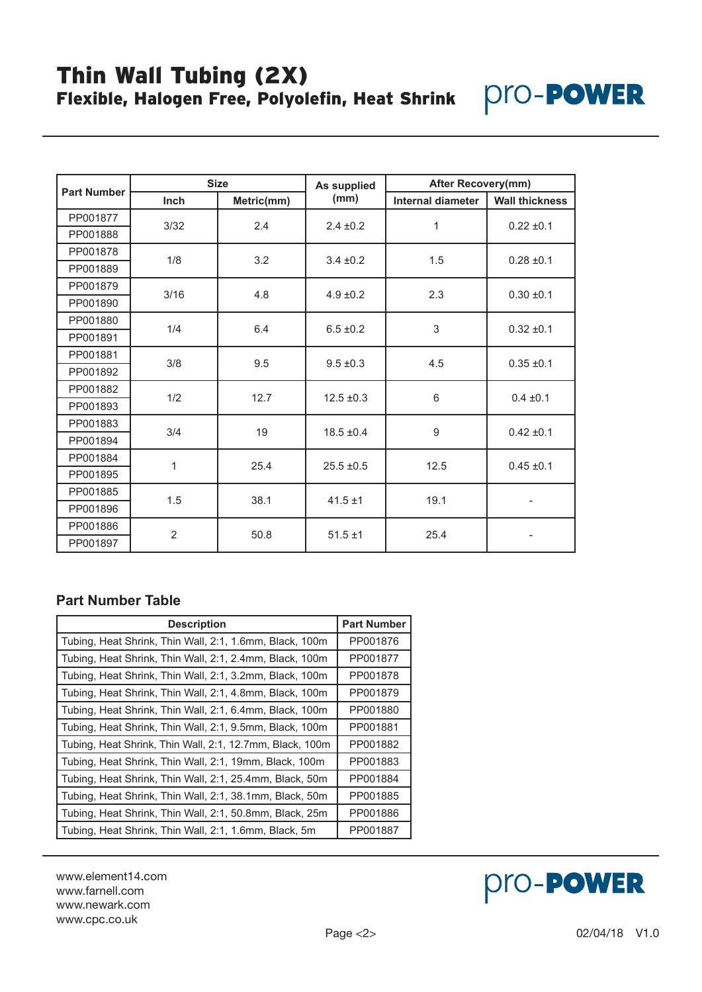## Thin Wall Tubing (2X) Flexible, Halogen Free, Polyolefin, Heat Shrink



| <b>Part Number</b> | <b>Size</b>                 |            | As supplied          | <b>After Recovery(mm)</b> |                       |
|--------------------|-----------------------------|------------|----------------------|---------------------------|-----------------------|
|                    | <b>Inch</b>                 | Metric(mm) | (mm)                 | Internal diameter         | <b>Wall thickness</b> |
| PP001877           |                             | 2.4        | $2.4 \pm 0.2$        | 1                         | $0.22 \pm 0.1$        |
| PP001888           | 3/32                        |            |                      |                           |                       |
| PP001878           |                             | 3.2        |                      | 1.5                       | $0.28 \pm 0.1$        |
| PP001889           | 1/8                         |            | $3.4 \pm 0.2$        |                           |                       |
| PP001879           |                             |            | 4.8<br>$4.9 \pm 0.2$ | 2.3                       | $0.30 \pm 0.1$        |
| PP001890           | 3/16                        |            |                      |                           |                       |
| PP001880           |                             |            | $6.5 \pm 0.2$        | 3                         | $0.32 \pm 0.1$        |
| PP001891           | 1/4                         | 6.4        |                      |                           |                       |
| PP001881           | 3/8<br>9.5<br>$9.5 \pm 0.3$ |            | 4.5                  |                           |                       |
| PP001892           |                             |            |                      |                           | $0.35 \pm 0.1$        |
| PP001882           | 1/2                         | 12.7       | $12.5 \pm 0.3$       | 6                         | $0.4 \pm 0.1$         |
| PP001893           |                             |            |                      |                           |                       |
| PP001883           | 3/4                         | 19         | $18.5 \pm 0.4$       | 9                         | $0.42 \pm 0.1$        |
| PP001894           |                             |            |                      |                           |                       |
| PP001884           | 1                           | 25.4       | $25.5 \pm 0.5$       | 12.5                      | $0.45 \pm 0.1$        |
| PP001895           |                             |            |                      |                           |                       |
| PP001885           | 1.5                         | 38.1       | $41.5 \pm 1$         | 19.1                      |                       |
| PP001896           |                             |            |                      |                           |                       |
| PP001886           | $\overline{2}$              | 50.8       | $51.5 \pm 1$         | 25.4                      |                       |
| PP001897           |                             |            |                      |                           |                       |

#### **Part Number Table**

| <b>Description</b>                                       | <b>Part Number</b> |
|----------------------------------------------------------|--------------------|
| Tubing, Heat Shrink, Thin Wall, 2:1, 1.6mm, Black, 100m  | PP001876           |
| Tubing, Heat Shrink, Thin Wall, 2:1, 2.4mm, Black, 100m  | PP001877           |
| Tubing, Heat Shrink, Thin Wall, 2:1, 3.2mm, Black, 100m  | PP001878           |
| Tubing, Heat Shrink, Thin Wall, 2:1, 4.8mm, Black, 100m  | PP001879           |
| Tubing, Heat Shrink, Thin Wall, 2:1, 6.4mm, Black, 100m  | PP001880           |
| Tubing, Heat Shrink, Thin Wall, 2:1, 9.5mm, Black, 100m  | PP001881           |
| Tubing, Heat Shrink, Thin Wall, 2:1, 12.7mm, Black, 100m | PP001882           |
| Tubing, Heat Shrink, Thin Wall, 2:1, 19mm, Black, 100m   | PP001883           |
| Tubing, Heat Shrink, Thin Wall, 2:1, 25.4mm, Black, 50m  | PP001884           |
| Tubing, Heat Shrink, Thin Wall, 2:1, 38.1mm, Black, 50m  | PP001885           |
| Tubing, Heat Shrink, Thin Wall, 2:1, 50.8mm, Black, 25m  | PP001886           |
| Tubing, Heat Shrink, Thin Wall, 2:1, 1.6mm, Black, 5m    | PP001887           |

www.element14.com www.farnell.com www.newark.com www.cpc.co.uk